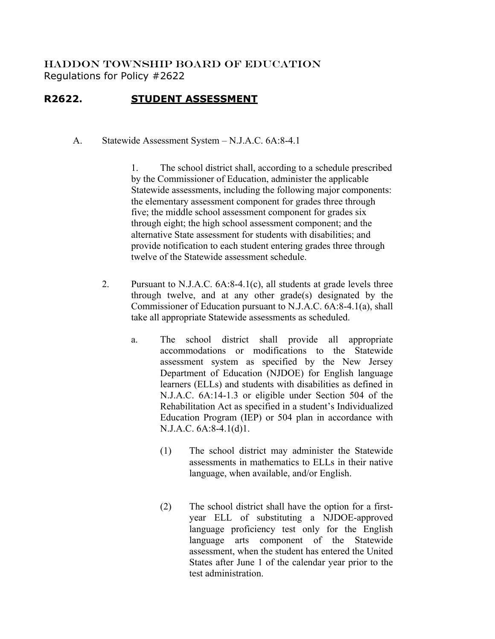HADDON TOWNSHIP BOARD OF EDUCATION Regulations for Policy #2622

## **R2622. STUDENT ASSESSMENT**

A. Statewide Assessment System – N.J.A.C. 6A:8-4.1

1. The school district shall, according to a schedule prescribed by the Commissioner of Education, administer the applicable Statewide assessments, including the following major components: the elementary assessment component for grades three through five; the middle school assessment component for grades six through eight; the high school assessment component; and the alternative State assessment for students with disabilities; and provide notification to each student entering grades three through twelve of the Statewide assessment schedule.

- 2. Pursuant to N.J.A.C. 6A:8-4.1(c), all students at grade levels three through twelve, and at any other grade(s) designated by the Commissioner of Education pursuant to N.J.A.C. 6A:8-4.1(a), shall take all appropriate Statewide assessments as scheduled.
	- a. The school district shall provide all appropriate accommodations or modifications to the Statewide assessment system as specified by the New Jersey Department of Education (NJDOE) for English language learners (ELLs) and students with disabilities as defined in N.J.A.C. 6A:14-1.3 or eligible under Section 504 of the Rehabilitation Act as specified in a student's Individualized Education Program (IEP) or 504 plan in accordance with N.J.A.C. 6A:8-4.1(d)1.
		- (1) The school district may administer the Statewide assessments in mathematics to ELLs in their native language, when available, and/or English.
		- (2) The school district shall have the option for a firstyear ELL of substituting a NJDOE-approved language proficiency test only for the English language arts component of the Statewide assessment, when the student has entered the United States after June 1 of the calendar year prior to the test administration.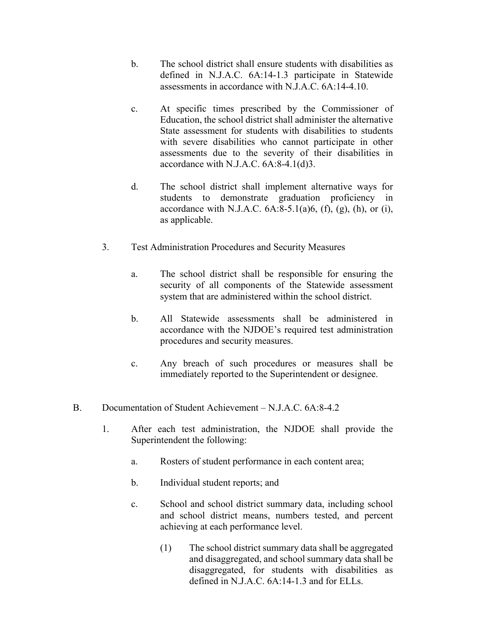- b. The school district shall ensure students with disabilities as defined in N.J.A.C. 6A:14-1.3 participate in Statewide assessments in accordance with N.J.A.C. 6A:14-4.10.
- c. At specific times prescribed by the Commissioner of Education, the school district shall administer the alternative State assessment for students with disabilities to students with severe disabilities who cannot participate in other assessments due to the severity of their disabilities in accordance with N.J.A.C. 6A:8-4.1(d)3.
- d. The school district shall implement alternative ways for students to demonstrate graduation proficiency in accordance with N.J.A.C.  $6A:8-5.1(a)6$ ,  $(f)$ ,  $(g)$ ,  $(h)$ , or  $(i)$ , as applicable.
- 3. Test Administration Procedures and Security Measures
	- a. The school district shall be responsible for ensuring the security of all components of the Statewide assessment system that are administered within the school district.
	- b. All Statewide assessments shall be administered in accordance with the NJDOE's required test administration procedures and security measures.
	- c. Any breach of such procedures or measures shall be immediately reported to the Superintendent or designee.
- B. Documentation of Student Achievement N.J.A.C. 6A:8-4.2
	- 1. After each test administration, the NJDOE shall provide the Superintendent the following:
		- a. Rosters of student performance in each content area;
		- b. Individual student reports; and
		- c. School and school district summary data, including school and school district means, numbers tested, and percent achieving at each performance level.
			- (1) The school district summary data shall be aggregated and disaggregated, and school summary data shall be disaggregated, for students with disabilities as defined in N.J.A.C. 6A:14-1.3 and for ELLs.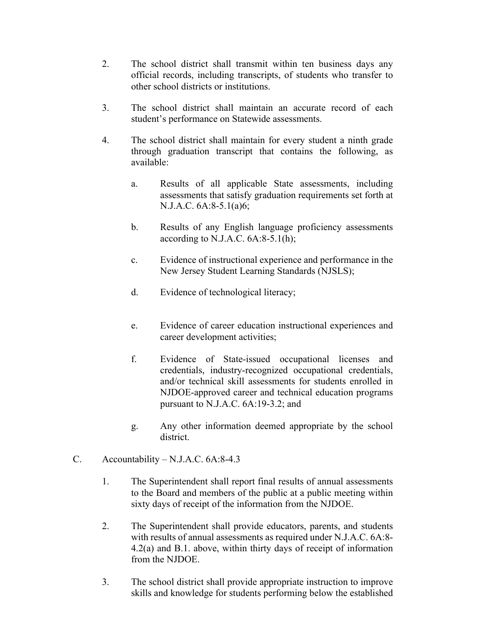- 2. The school district shall transmit within ten business days any official records, including transcripts, of students who transfer to other school districts or institutions.
- 3. The school district shall maintain an accurate record of each student's performance on Statewide assessments.
- 4. The school district shall maintain for every student a ninth grade through graduation transcript that contains the following, as available:
	- a. Results of all applicable State assessments, including assessments that satisfy graduation requirements set forth at N.J.A.C. 6A:8-5.1(a)6;
	- b. Results of any English language proficiency assessments according to N.J.A.C.  $6A:8-5.1(h)$ ;
	- c. Evidence of instructional experience and performance in the New Jersey Student Learning Standards (NJSLS);
	- d. Evidence of technological literacy;
	- e. Evidence of career education instructional experiences and career development activities;
	- f. Evidence of State-issued occupational licenses and credentials, industry-recognized occupational credentials, and/or technical skill assessments for students enrolled in NJDOE-approved career and technical education programs pursuant to N.J.A.C. 6A:19-3.2; and
	- g. Any other information deemed appropriate by the school district.
- C. Accountability N.J.A.C. 6A:8-4.3
	- 1. The Superintendent shall report final results of annual assessments to the Board and members of the public at a public meeting within sixty days of receipt of the information from the NJDOE.
	- 2. The Superintendent shall provide educators, parents, and students with results of annual assessments as required under N.J.A.C. 6A:8- 4.2(a) and B.1. above, within thirty days of receipt of information from the NJDOE.
	- 3. The school district shall provide appropriate instruction to improve skills and knowledge for students performing below the established